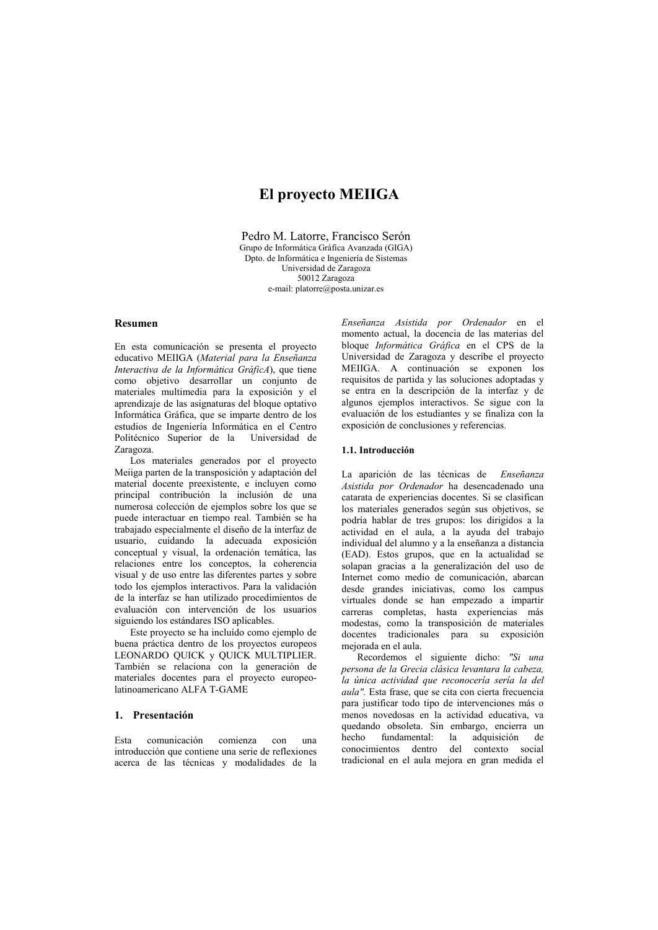# **El provecto MEIIGA**

Pedro M. Latorre. Francisco Serón Grupo de Informática Gráfica Avanzada (GIGA) D<sub>pto</sub> de Informática e Ingeniería de Sistemas Universidad de Zaragoza 50012 Zaragoza e-mail: platorre@posta.unizar.es

## **Resumen**

En esta comunicación se presenta el proyecto educativo MEIIGA (Material para la Enseñanza Interactiva de la Informática GráficA), que tiene como objetivo desarrollar un conjunto de materiales multimedia para la exposición y el aprendizaje de las asignaturas del bloque optativo Informática Gráfica, que se imparte dentro de los estudios de Ingeniería Informática en el Centro Politécnico Superior de la Universidad de Zaragoza

Los materiales generados por el proyecto Meiiga parten de la transposición y adaptación del material docente preexistente, e incluyen como principal contribución la inclusión de una numerosa colección de ejemplos sobre los que se puede interactuar en tiempo real. También se ha trabajado especialmente el diseño de la interfaz de usuario, cuidando la adecuada exposición conceptual y visual, la ordenación temática, las relaciones entre los conceptos, la coherencia visual y de uso entre las diferentes partes y sobre todo los ejemplos interactivos. Para la validación de la interfaz se han utilizado procedimientos de evaluación con intervención de los usuarios siguiendo los estándares ISO anlicables.

Este proyecto se ha incluído como ejemplo de buena práctica dentro de los proyectos europeos LEONARDO QUICK y QUICK MULTIPLIER. También se relaciona con la generación de materiales docentes para el proyecto europeolatinoamericano ALFA T-GAME

### 1. Presentación

Esta comunicación comienza con una introducción que contiene una serie de reflexiones acerca de las técnicas y modalidades de la

Enseñanza Asistida por Ordenador en el momento actual, la docencia de las materias del bloque Informática Gráfica en el CPS de la Universidad de Zaragoza y describe el provecto MEIIGA. A continuación se exponen los requisitos de partida y las soluciones adoptadas y se entra en la descripción de la interfaz y de algunos ejemplos interactivos. Se sigue con la evaluación de los estudiantes y se finaliza con la exposición de conclusiones y referencias.

### 1.1. Introducción

La aparición de las técnicas de Enseñanza Asistida por Ordenador ha desencadenado una catarata de experiencias docentes. Si se clasifican los materiales generados según sus objetivos, se podría hablar de tres grupos: los dirigidos a la actividad en el aula, a la ayuda del trabajo individual del alumno y a la enseñanza a distancia (EAD). Estos grupos, que en la actualidad se solapan gracias a la generalización del uso de Internet como medio de comunicación, abarcan desde grandes iniciativas, como los campus virtuales donde se han empezado a impartir carreras completas, hasta experiencias más modestas, como la transposición de materiales docentes tradicionales para su exposición meiorada en el aula.

Recordemos el siguiente dicho: "Si una persona de la Grecia clásica levantara la cabeza, la única actividad que reconocería sería la del aula". Esta frase, que se cita con cierta frecuencia para justificar todo tipo de intervenciones más o menos novedosas en la actividad educativa, va quedando obsoleta. Sin embargo, encierra un hecho fundamental: la adquisición  $de$ conocimientos dentro del contexto social tradicional en el aula mejora en gran medida el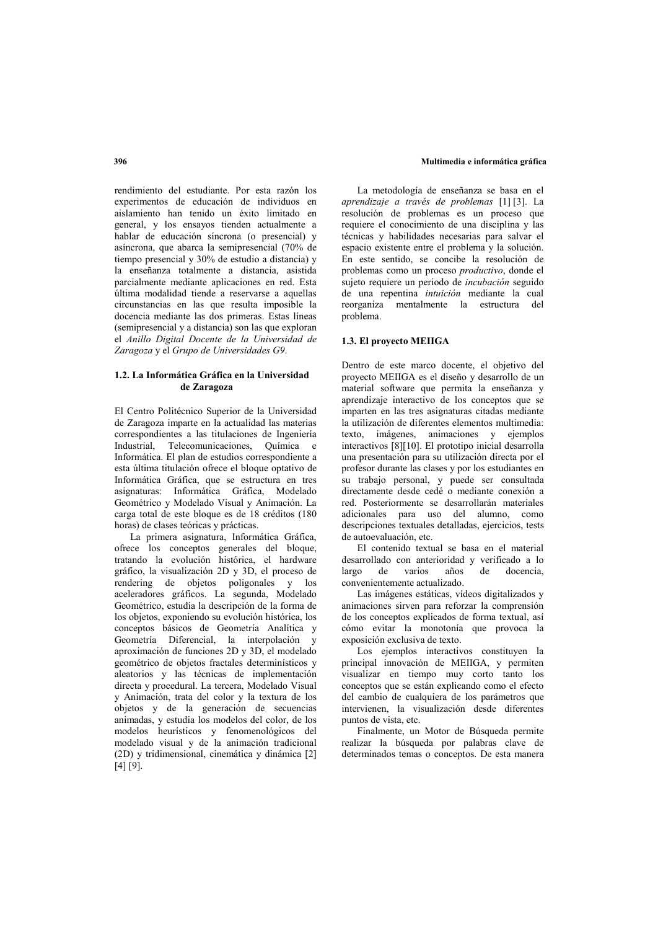### rendimiento del estudiante. Por esta razón los experimentos de educación de individuos en aislamiento han tenido un éxito limitado en general, y los ensayos tienden actualmente a hablar de educación síncrona (o presencial) y asíncrona, que abarca la semipresencial (70% de tiempo presencial y 30% de estudio a distancia) y la enseñanza totalmente a distancia asistida parcialmente mediante aplicaciones en red. Esta última modalidad tiende a reservarse a aquellas circunstancias en las que resulta imposible la docencia mediante las dos primeras. Estas líneas (semipresencial y a distancia) son las que exploran el Anillo Digital Docente de la Universidad de Zaragoza y el Grupo de Universidades G9.

### 1.2. La Informática Gráfica en la Universidad de Zaragoza

El Centro Politécnico Superior de la Universidad de Zaragoza imparte en la actualidad las materias correspondientes a las titulaciones de Ingeniería Industrial, Telecomunicaciones, Química e Informática. El plan de estudios correspondiente a esta última titulación ofrece el bloque optativo de Informática Gráfica, que se estructura en tres asignaturas: Informática Gráfica, Modelado Geométrico y Modelado Visual y Animación. La carga total de este bloque es de 18 créditos (180 horas) de clases teóricas y prácticas.

La primera asignatura. Informática Gráfica. ofrece los conceptos generales del bloque, tratando la evolución histórica, el hardware gráfico, la visualización 2D y 3D, el proceso de rendering de objetos poligonales y los aceleradores gráficos. La segunda, Modelado Geométrico, estudia la descripción de la forma de los objetos, exponiendo su evolución histórica, los conceptos básicos de Geometría Analítica y Geometría Diferencial, la interpolación y aproximación de funciones 2D y 3D, el modelado geométrico de objetos fractales determinísticos y aleatorios y las técnicas de implementación directa y procedural. La tercera, Modelado Visual y Animación, trata del color y la textura de los objetos y de la generación de secuencias animadas, y estudia los modelos del color, de los modelos heurísticos y fenomenológicos del modelado visual y de la animación tradicional (2D) y tridimensional, cinemática y dinámica [2]  $[4]$   $[9]$ .

La metodología de enseñanza se basa en el aprendizaje a través de problemas [1][3]. La resolución de problemas es un proceso que requiere el conocimiento de una disciplina y las técnicas y habilidades necesarias para salvar el espacio existente entre el problema y la solución. En este sentido, se concibe la resolución de problemas como un proceso *productivo*, donde el sujeto requiere un periodo de *incubación* seguido de una repentina *intuición* mediante la cual reorganiza mentalmente la estructura del problema.

### 1.3. El provecto MEIIGA

Dentro de este marco docente, el objetivo del proyecto MEIIGA es el diseño y desarrollo de un material software que permita la enseñanza y aprendizaje interactivo de los conceptos que se imparten en las tres asignaturas citadas mediante la utilización de diferentes elementos multimedia: texto, imágenes, animaciones y ejemplos interactivos [8][10]. El prototipo inicial desarrolla una presentación para su utilización directa por el profesor durante las clases y por los estudiantes en su trabajo personal, y puede ser consultada directamente desde cedé o mediante conexión a red. Posteriormente se desarrollarán materiales adicionales para uso del alumno, como descripciones textuales detalladas, ejercicios, tests de autoevaluación, etc.

El contenido textual se basa en el material desarrollado con anterioridad y verificado a lo largo  $d\rho$ varios años de docencia. convenientemente actualizado.

Las imágenes estáticas, vídeos digitalizados y animaciones sirven para reforzar la comprensión de los conceptos explicados de forma textual, así cómo evitar la monotonía que provoca la exposición exclusiva de texto.

Los ejemplos interactivos constituyen la principal innovación de MEIIGA, y permiten visualizar en tiempo muy corto tanto los conceptos que se están explicando como el efecto del cambio de cualquiera de los parámetros que intervienen, la visualización desde diferentes puntos de vista, etc.

Finalmente, un Motor de Búsqueda permite realizar la búsqueda por palabras clave de determinados temas o conceptos. De esta manera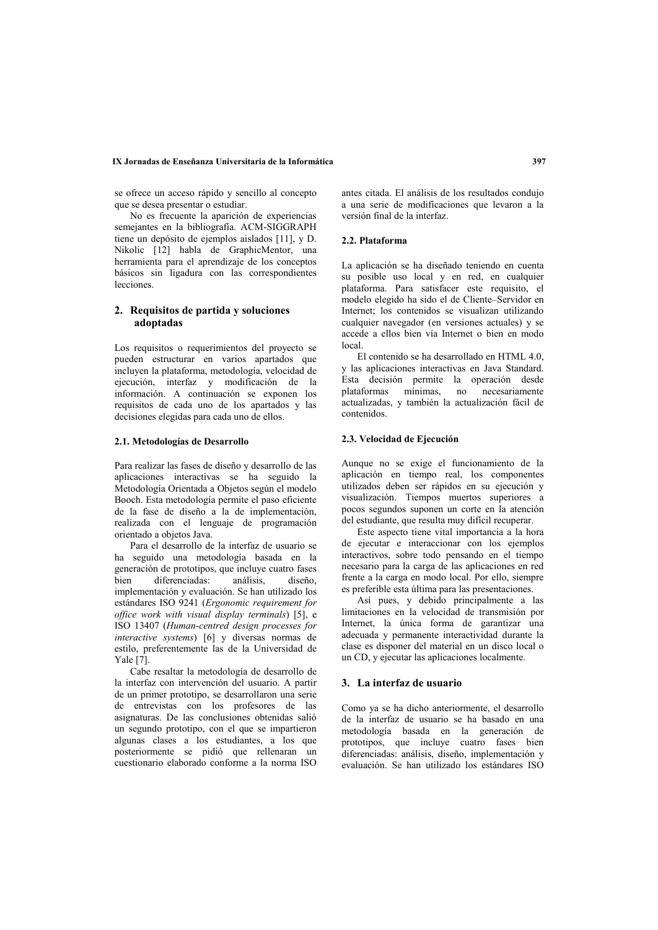### IX Jornadas de Enseñanza Universitaria de la Informática

se ofrece un acceso rápido y sencillo al concepto que se desea presentar o estudiar.

No es frecuente la aparición de experiencias semeiantes en la bibliografía. ACM-SIGGRAPH tiene un depósito de ejemplos aislados [11], y D. Nikolic [12] habla de GraphicMentor, una herramienta para el aprendizaje de los conceptos básicos sin ligadura con las correspondientes lecciones

### 2. Requisitos de partida y soluciones adoptadas

Los requisitos o requerimientos del proyecto se pueden estructurar en varios apartados que incluven la plataforma, metodología, velocidad de ejecución, interfaz y modificación de la información. A continuación se exponen los requisitos de cada uno de los apartados y las decisiones elegidas para cada uno de ellos.

### 2.1. Metodologías de Desarrollo

Para realizar las fases de diseño y desarrollo de las aplicaciones interactivas se ha seguido la Metodología Orientada a Objetos según el modelo Booch. Esta metodología permite el paso eficiente de la fase de diseño a la de implementación. realizada con el lenguaje de programación orientado a obietos Java.

Para el desarrollo de la interfaz de usuario se ha seguido una metodología basada en la generación de prototipos, que incluye cuatro fases diferenciadas: hien análisis. diseño. implementación y evaluación. Se han utilizado los estándares ISO 9241 (Ergonomic requirement for office work with visual display terminals) [5]. e ISO 13407 (Human-centred design processes for interactive systems) [6] y diversas normas de estilo, preferentemente las de la Universidad de Yale [7].

Cabe resaltar la metodología de desarrollo de la interfaz con intervención del usuario. A partir de un primer prototipo, se desarrollaron una serie de entrevistas con los profesores de las asignaturas. De las conclusiones obtenidas salió un segundo prototipo, con el que se impartieron algunas clases a los estudiantes, a los que posteriormente se pidió que rellenaran un cuestionario elaborado conforme a la norma ISO

antes citada. El análisis de los resultados conduio a una serie de modificaciones que levaron a la versión final de la interfaz.

### 22 Plataforma

La aplicación se ha diseñado teniendo en cuenta  $\overrightarrow{a}$  nosible uso local  $\overrightarrow{v}$  en red en cualquier plataforma. Para satisfacer este requisito, el modelo elegido ha sido el de Cliente-Servidor en Internet: los contenidos se visualizan utilizando cualquier navegador (en versiones actuales) y se accede a ellos bien vía Internet o bien en modo local.

El contenido se ha desarrollado en HTML 4.0 v las aplicaciones interactivas en Java Standard. Esta decisión permite la operación desde plataformas mínimas, no necesariamente actualizadas, y también la actualización fácil de contenidos.

### 2.3. Velocidad de Ejecución

Aunque no se exige el funcionamiento de la aplicación en tiempo real, los componentes utilizados deben ser rápidos en su ejecución y visualización. Tiempos muertos superiores a pocos segundos suponen un corte en la atención del estudiante, que resulta muy difícil recuperar.

Este aspecto tiene vital importancia a la hora de ejecutar e interaccionar con los ejemplos interactivos, sobre todo pensando en el tiempo necesario para la carga de las aplicaciones en red frente a la carga en modo local. Por ello, siempre es preferible esta última para las presentaciones.

Así pues, y debido principalmente a las limitaciones en la velocidad de transmisión por Internet. la única forma de garantizar una adecuada y permanente interactividad durante la clase es disponer del material en un disco local o un CD, y ejecutar las aplicaciones localmente.

### 3. La interfaz de usuario

Como ya se ha dicho anteriormente, el desarrollo de la interfaz de usuario se ha basado en una metodología basada en la generación de prototipos, que incluye cuatro fases bien diferenciadas: análisis, diseño, implementación y evaluación. Se han utilizado los estándares ISO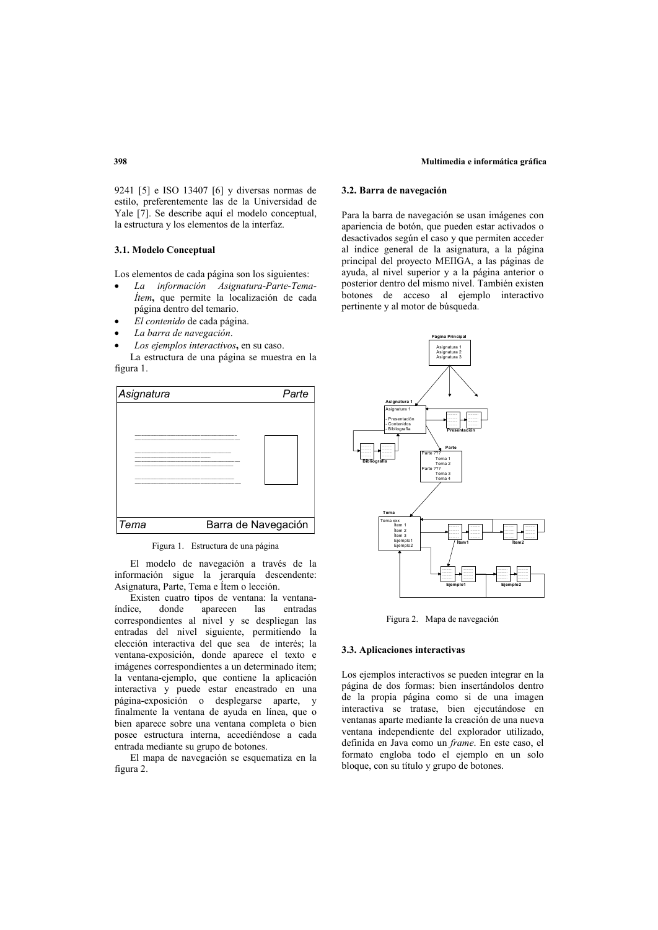#### Multimedia e informática gráfica

9241 [5] e ISO 13407 [6] y diversas normas de estilo, preferentemente las de la Universidad de Yale [7]. Se describe aquí el modelo conceptual, la estructura y los elementos de la interfaz.

### 3.1. Modelo Conceptual

Los elementos de cada página son los siguientes:

- La información Asignatura-Parte-Tema*ltem*, que permite la localización de cada página dentro del temario.
- El contenido de cada página.
- La barra de navegación.
- Los ejemplos interactivos, en su caso.

La estructura de una página se muestra en la figura 1.



Figura 1. Estructura de una página

El modelo de navegación a través de la información sigue la jerarquía descendente: Asignatura, Parte, Tema e Ítem o lección.

Existen cuatro tipos de ventana: la ventanaíndice donde aparecen las entradas correspondientes al nivel y se despliegan las entradas del nivel siguiente, permitiendo la elección interactiva del que sea de interés; la ventana-exposición, donde aparece el texto e imágenes correspondientes a un determinado ítem; la ventana-ejemplo, que contiene la aplicación interactiva y puede estar encastrado en una página-exposición o desplegarse aparte, y finalmente la ventana de avuda en línea, que o bien aparece sobre una ventana completa o bien posee estructura interna, accediéndose a cada entrada mediante su grupo de botones.

El mapa de navegación se esquematiza en la figura 2.

### 3.2. Barra de navegación

Para la barra de navegación se usan imágenes con apariencia de botón, que pueden estar activados o desactivados según el caso y que permiten acceder al índice general de la asignatura, a la página principal del proyecto MEIIGA, a las páginas de ayuda, al nivel superior y a la página anterior o posterior dentro del mismo nivel. También existen botones de acceso al ejemplo interactivo pertinente y al motor de búsqueda.



Figura 2. Mapa de navegación

### 3.3. Aplicaciones interactivas

Los ejemplos interactivos se pueden integrar en la página de dos formas: bien insertándolos dentro de la propia página como si de una imagen interactiva se tratase, bien ejecutándose en ventanas aparte mediante la creación de una nueva ventana independiente del explorador utilizado, definida en Java como un frame. En este caso, el formato engloba todo el ejemplo en un solo bloque, con su título y grupo de botones.

### 398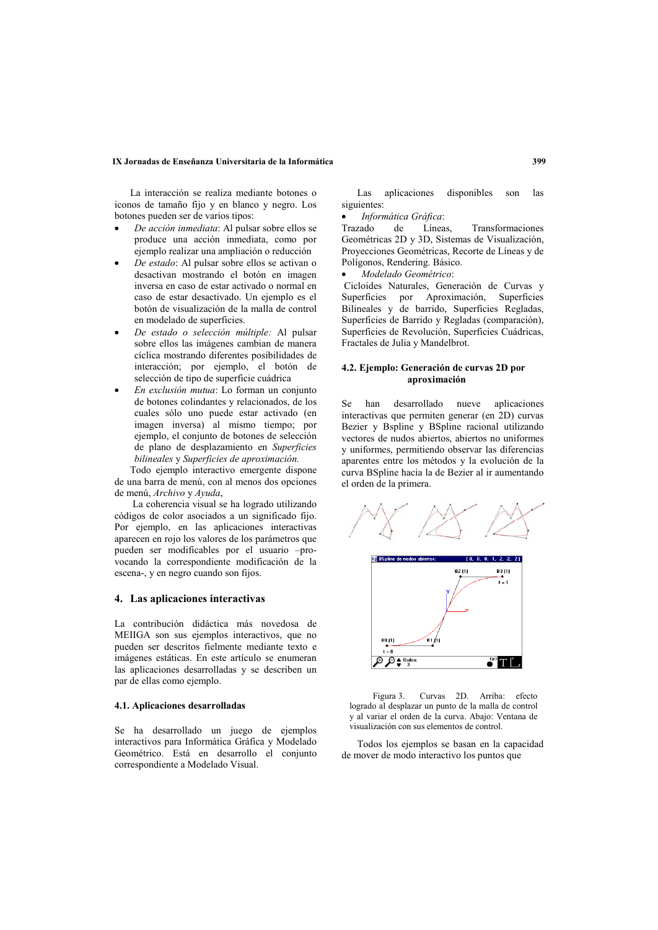### IX Jornadas de Enseñanza Universitaria de la Informática

La interacción se realiza mediante botones o iconos de tamaño fijo y en blanco y negro. Los botones pueden ser de varios tipos:

- De acción inmediata: Al pulsar sobre ellos se produce una acción inmediata, como por ejemplo realizar una ampliación o reducción
- De estado: Al pulsar sobre ellos se activan o desactivan mostrando el botón en imagen inversa en caso de estar activado o normal en caso de estar desactivado. Un ejemplo es el botón de visualización de la malla de control en modelado de superficies.
- De estado o selección múltiple: Al pulsar sobre ellos las imágenes cambian de manera cíclica mostrando diferentes posibilidades de interacción; por ejemplo, el botón de selección de tipo de superficie cuádrica
- En exclusión mutua: Lo forman un conjunto de botones colindantes y relacionados, de los cuales sólo uno puede estar activado (en imagen inversa) al mismo tiempo; por ejemplo, el conjunto de botones de selección de plano de desplazamiento en Superficies bilineales y Superficies de aproximación.

Todo ejemplo interactivo emergente dispone de una barra de menú, con al menos dos opciones de menú. Archivo v Avuda.

La coherencia visual se ha logrado utilizando códigos de color asociados a un significado fijo. Por ejemplo, en las aplicaciones interactivas aparecen en rojo los valores de los parámetros que pueden ser modificables por el usuario -provocando la correspondiente modificación de la escena-, y en negro cuando son fijos.

#### 4. Las aplicaciones interactivas

La contribución didáctica más novedosa de MEIIGA son sus ejemplos interactivos, que no pueden ser descritos fielmente mediante texto e imágenes estáticas. En este artículo se enumeran las aplicaciones desarrolladas y se describen un par de ellas como ejemplo.

### 4.1. Aplicaciones desarrolladas

Se ha desarrollado un juego de ejemplos interactivos para Informática Gráfica y Modelado Geométrico. Está en desarrollo el conjunto correspondiente a Modelado Visual.

aplicaciones disponibles Las  $12s$ son siguientes:

Informática Gráfica:

Trazado de. Líneas, Transformaciones Geométricas 2D v 3D. Sistemas de Visualización. Proyecciones Geométricas, Recorte de Líneas y de Polígonos, Rendering, Básico.

Modelado Geométrico:

Cicloides Naturales. Generación de Curvas y Superficies por Aproximación, Superficies Bilineales y de barrido, Superficies Regladas, Superficies de Barrido y Regladas (comparación), Superficies de Revolución, Superficies Cuádricas, Fractales de Julia y Mandelbrot.

### 4.2. Eiemplo: Generación de curvas 2D por aproximación

aplicaciones Se han desarrollado nueve interactivas que permiten generar (en 2D) curvas Bezier y Bspline y BSpline racional utilizando vectores de nudos abiertos, abiertos no uniformes y uniformes, permitiendo observar las diferencias aparentes entre los métodos y la evolución de la curva BSpline hacia la de Bezier al ir aumentando el orden de la primera.



Curvas 2D. Arriba: efecto Figura 3 logrado al desplazar un punto de la malla de control y al variar el orden de la curva. Abajo: Ventana de visualización con sus elementos de control.

Todos los ejemplos se basan en la capacidad de mover de modo interactivo los puntos que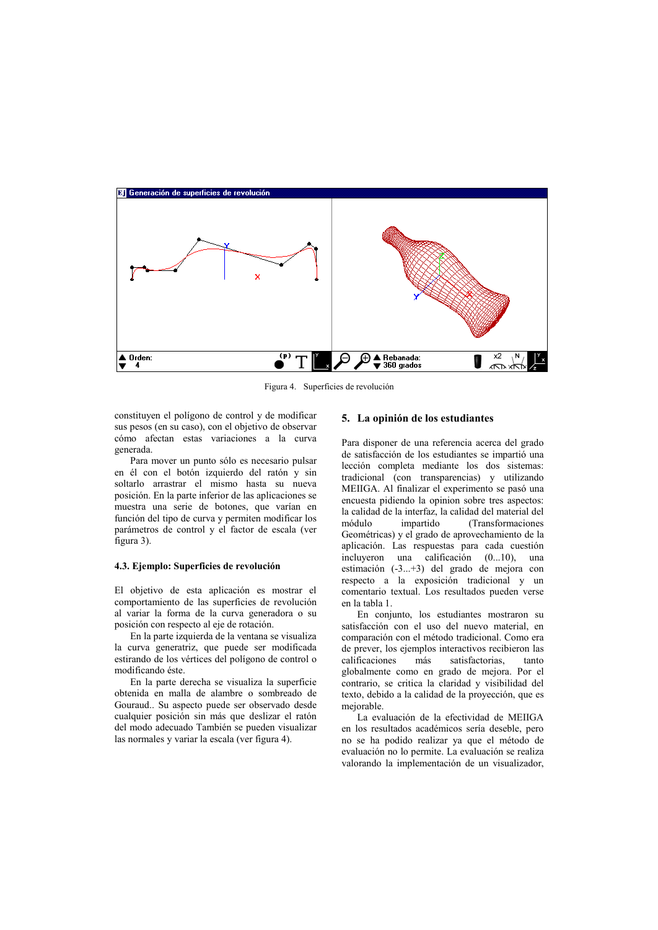

Figura 4. Superficies de revolución

constituyen el polígono de control y de modificar sus pesos (en su caso), con el objetivo de observar cómo afectan estas variaciones a la curva generada.

Para mover un punto sólo es necesario pulsar en él con el botón izquierdo del ratón y sin soltarlo arrastrar el mismo hasta su nueva posición. En la parte inferior de las aplicaciones se muestra una serie de botones, que varían en función del tipo de curva y permiten modificar los parámetros de control y el factor de escala (ver figura 3).

### 4.3. Ejemplo: Superficies de revolución

El objetivo de esta aplicación es mostrar el comportamiento de las superficies de revolución al variar la forma de la curva generadora o su posición con respecto al eje de rotación.

En la parte izquierda de la ventana se visualiza la curva generatriz, que puede ser modificada estirando de los vértices del polígono de control o modificando éste.

En la parte derecha se visualiza la superficie obtenida en malla de alambre o sombreado de Gouraud.. Su aspecto puede ser observado desde cualquier posición sin más que deslizar el ratón del modo adecuado También se pueden visualizar las normales y variar la escala (ver figura 4).

### 5. La opinión de los estudiantes

Para disponer de una referencia acerca del grado de satisfacción de los estudiantes se impartió una lección completa mediante los dos sistemas: tradicional (con transparencias) y utilizando MEIIGA. Al finalizar el experimento se pasó una encuesta pidiendo la opinion sobre tres aspectos: la calidad de la interfaz. la calidad del material del módulo impartido (Transformaciones Geométricas) y el grado de aprovechamiento de la aplicación. Las respuestas para cada cuestión incluyeron una calificación (0...10), una estimación (-3...+3) del grado de mejora con respecto a la exposición tradicional y un comentario textual. Los resultados pueden verse en la tabla 1

En conjunto, los estudiantes mostraron su satisfacción con el uso del nuevo material, en comparación con el método tradicional. Como era de prever, los ejemplos interactivos recibieron las calificaciones más satisfactorias, tanto globalmente como en grado de mejora. Por el contrario, se critica la claridad y visibilidad del texto, debido a la calidad de la proyección, que es mejorable.

La evaluación de la efectividad de MEIIGA en los resultados académicos sería deseble, pero no se ha podido realizar ya que el método de evaluación no lo permite. La evaluación se realiza valorando la implementación de un visualizador,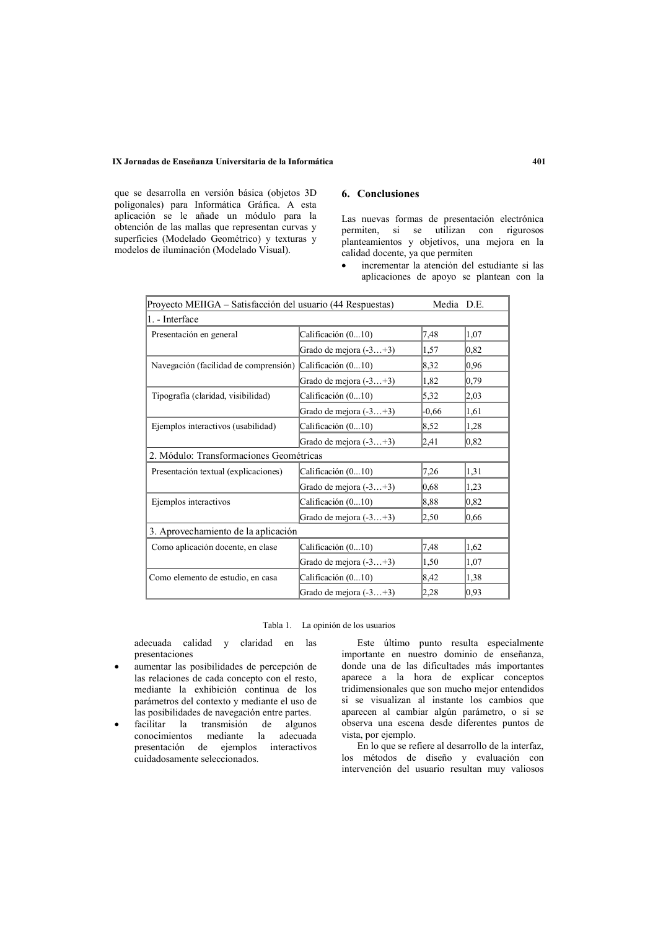### IX Jornadas de Enseñanza Universitaria de la Informática

que se desarrolla en versión básica (objetos 3D poligonales) para Informática Gráfica. A esta aplicación se le añade un módulo para la obtención de las mallas que representan curvas y superficies (Modelado Geométrico) y texturas y modelos de iluminación (Modelado Visual).

# 6. Conclusiones

Las nuevas formas de presentación electrónica permiten, si se utilizan con rigurosos planteamientos y obietivos, una meiora en la calidad docente, ya que permiten

incrementar la atención del estudiante si las aplicaciones de apoyo se plantean con la

| Proyecto MEIIGA – Satisfacción del usuario (44 Respuestas) |                          | Media D.E. |      |
|------------------------------------------------------------|--------------------------|------------|------|
| 1. - Interface                                             |                          |            |      |
| Presentación en general                                    | Calificación (010)       | 7,48       | 1,07 |
|                                                            | Grado de mejora (-3+3)   | 1,57       | 0,82 |
| Navegación (facilidad de comprensión) Calificación (010)   |                          | 8,32       | 0,96 |
|                                                            | Grado de mejora $(-3+3)$ | 1,82       | 0,79 |
| Tipografía (claridad, visibilidad)                         | Calificación (010)       | 5,32       | 2,03 |
|                                                            | Grado de mejora $(-3+3)$ | $-0.66$    | 1,61 |
| Ejemplos interactivos (usabilidad)                         | Calificación (010)       | 8,52       | 1,28 |
|                                                            | Grado de mejora $(-3+3)$ | 2,41       | 0,82 |
| 2. Módulo: Transformaciones Geométricas                    |                          |            |      |
| Presentación textual (explicaciones)                       | Calificación (010)       | 7,26       | 1,31 |
|                                                            | Grado de mejora (-3+3)   | 0.68       | 1,23 |
| Ejemplos interactivos                                      | Calificación (010)       | 8,88       | 0,82 |
|                                                            | Grado de mejora $(-3+3)$ | 2,50       | 0,66 |
| 3. Aprovechamiento de la aplicación                        |                          |            |      |
| Como aplicación docente, en clase                          | Calificación (010)       | 7,48       | 1,62 |
|                                                            | Grado de mejora (-3+3)   | 1,50       | 1,07 |
| Como elemento de estudio, en casa                          | Calificación (010)       | 8,42       | 1,38 |
|                                                            | Grado de mejora $(-3+3)$ | 2,28       | 0.93 |

Tabla 1. La opinión de los usuarios

adecuada calidad y claridad en las presentaciones

- aumentar las posibilidades de percepción de las relaciones de cada concepto con el resto. mediante la exhibición continua de los parámetros del contexto y mediante el uso de las posibilidades de navegación entre partes.
- facilitar la transmisión de algunos conocimientos mediante la adecuada presentación de ejemplos interactivos cuidadosamente seleccionados.

Este último punto resulta especialmente importante en nuestro dominio de enseñanza, donde una de las dificultades más importantes aparece a la hora de explicar conceptos tridimensionales que son mucho mejor entendidos si se visualizan al instante los cambios que aparecen al cambiar algún parámetro, o si se observa una escena desde diferentes puntos de vista, por ejemplo.

En lo que se refiere al desarrollo de la interfaz, los métodos de diseño y evaluación con intervención del usuario resultan muy valiosos